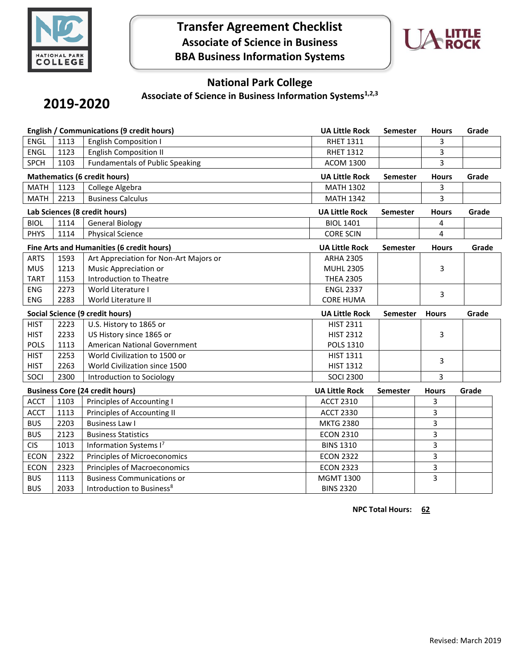

# **Transfer Agreement Checklist Associate of Science in Business BBA Business Information Systems**



## **National Park College**

**Associate of Science in Business Information Systems1,2,3**

# **2019-2020**

| English / Communications (9 credit hours) |                                |                                           | <b>UA Little Rock</b> | <b>Semester</b> | <b>Hours</b> | Grade |
|-------------------------------------------|--------------------------------|-------------------------------------------|-----------------------|-----------------|--------------|-------|
| <b>ENGL</b>                               | 1113                           | <b>English Composition I</b>              | <b>RHET 1311</b>      |                 | 3            |       |
| <b>ENGL</b>                               | 1123                           | <b>English Composition II</b>             | <b>RHET 1312</b>      |                 | 3            |       |
| <b>SPCH</b>                               | 1103                           | <b>Fundamentals of Public Speaking</b>    | <b>ACOM 1300</b>      |                 | 3            |       |
| <b>Mathematics (6 credit hours)</b>       |                                |                                           | <b>UA Little Rock</b> | <b>Semester</b> | <b>Hours</b> | Grade |
| <b>MATH</b>                               | 1123                           | College Algebra                           | <b>MATH 1302</b>      |                 | 3            |       |
| <b>MATH</b>                               | 2213                           | <b>Business Calculus</b>                  | <b>MATH 1342</b>      |                 | 3            |       |
| Lab Sciences (8 credit hours)             |                                |                                           | <b>UA Little Rock</b> | Semester        | <b>Hours</b> | Grade |
| <b>BIOL</b>                               | 1114<br><b>General Biology</b> |                                           |                       |                 | 4            |       |
| <b>PHYS</b>                               | 1114                           | <b>Physical Science</b>                   | <b>CORE SCIN</b>      |                 | 4            |       |
|                                           |                                | Fine Arts and Humanities (6 credit hours) | <b>UA Little Rock</b> | <b>Semester</b> | <b>Hours</b> | Grade |
| <b>ARTS</b>                               | 1593                           | Art Appreciation for Non-Art Majors or    | <b>ARHA 2305</b>      |                 |              |       |
| <b>MUS</b>                                | 1213                           | Music Appreciation or                     | <b>MUHL 2305</b>      |                 | 3            |       |
| <b>TART</b>                               | 1153                           | Introduction to Theatre                   | <b>THEA 2305</b>      |                 |              |       |
| <b>ENG</b>                                | 2273                           | World Literature I                        | <b>ENGL 2337</b>      |                 | 3            |       |
| <b>ENG</b>                                | 2283                           | World Literature II                       | <b>CORE HUMA</b>      |                 |              |       |
| <b>Social Science (9 credit hours)</b>    |                                | <b>UA Little Rock</b>                     | <b>Semester</b>       | <b>Hours</b>    | Grade        |       |
|                                           |                                |                                           |                       |                 |              |       |
| <b>HIST</b>                               | 2223                           | U.S. History to 1865 or                   | <b>HIST 2311</b>      |                 |              |       |
| <b>HIST</b>                               | 2233                           | US History since 1865 or                  | <b>HIST 2312</b>      |                 | 3            |       |
| <b>POLS</b>                               | 1113                           | American National Government              | POLS 1310             |                 |              |       |
| <b>HIST</b>                               | 2253                           | World Civilization to 1500 or             | <b>HIST 1311</b>      |                 |              |       |
| <b>HIST</b>                               | 2263                           | World Civilization since 1500             | <b>HIST 1312</b>      |                 | 3            |       |
| SOCI                                      | 2300                           | Introduction to Sociology                 | <b>SOCI 2300</b>      |                 | 3            |       |
|                                           |                                | <b>Business Core (24 credit hours)</b>    | <b>UA Little Rock</b> | <b>Semester</b> | <b>Hours</b> | Grade |
| <b>ACCT</b>                               | 1103                           | Principles of Accounting I                | <b>ACCT 2310</b>      |                 | 3            |       |
| <b>ACCT</b>                               | 1113                           | Principles of Accounting II               | <b>ACCT 2330</b>      |                 | 3            |       |
| <b>BUS</b>                                | 2203                           | <b>Business Law I</b>                     | <b>MKTG 2380</b>      |                 | 3            |       |
| <b>BUS</b>                                | 2123                           | <b>Business Statistics</b>                | <b>ECON 2310</b>      |                 | 3            |       |
| <b>CIS</b>                                | 1013                           | Information Systems I <sup>7</sup>        | <b>BINS 1310</b>      |                 | 3            |       |
| <b>ECON</b>                               | 2322                           | Principles of Microeconomics              | <b>ECON 2322</b>      |                 | 3            |       |
| <b>ECON</b>                               | 2323                           | <b>Principles of Macroeconomics</b>       | <b>ECON 2323</b>      |                 | 3            |       |
| <b>BUS</b>                                | 1113                           | <b>Business Communications or</b>         | <b>MGMT 1300</b>      |                 | 3            |       |

**NPC Total Hours: 62**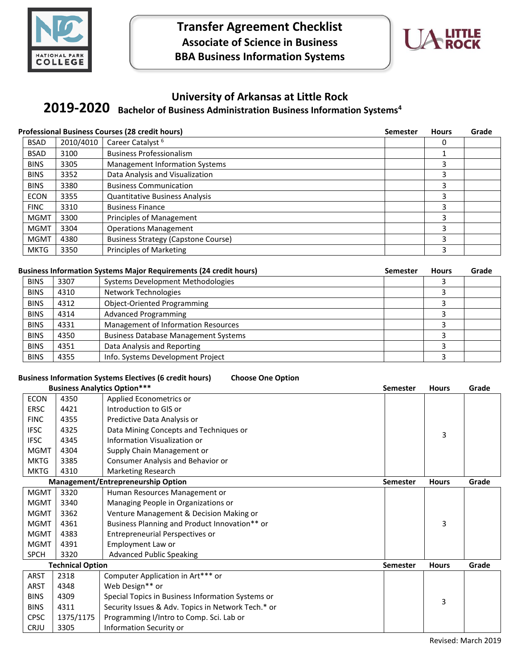



## **University of Arkansas at Little Rock**

# **Bachelor of Business Administration Business Information Systems<sup>4</sup> 2019-2020**

| <b>Professional Business Courses (28 credit hours)</b> |           | <b>Semester</b>                            | <b>Hours</b> | Grade |  |
|--------------------------------------------------------|-----------|--------------------------------------------|--------------|-------|--|
| <b>BSAD</b>                                            | 2010/4010 | Career Catalyst <sup>6</sup>               |              |       |  |
| <b>BSAD</b>                                            | 3100      | <b>Business Professionalism</b>            |              |       |  |
| <b>BINS</b>                                            | 3305      | <b>Management Information Systems</b>      |              | 3     |  |
| <b>BINS</b>                                            | 3352      | Data Analysis and Visualization            |              | 3     |  |
| <b>BINS</b>                                            | 3380      | <b>Business Communication</b>              |              | 3     |  |
| <b>ECON</b>                                            | 3355      | <b>Quantitative Business Analysis</b>      |              | 3     |  |
| <b>FINC</b>                                            | 3310      | <b>Business Finance</b>                    |              | 3     |  |
| <b>MGMT</b>                                            | 3300      | Principles of Management                   |              | 3     |  |
| <b>MGMT</b>                                            | 3304      | <b>Operations Management</b>               |              | 3     |  |
| <b>MGMT</b>                                            | 4380      | <b>Business Strategy (Capstone Course)</b> |              | 3     |  |
| <b>MKTG</b>                                            | 3350      | <b>Principles of Marketing</b>             |              | 3     |  |

## **Business Information Systems Major Requirements (24 credit hours) Semester Hours Grade**

| <b>BINS</b> | 3307 | Systems Development Methodologies           |  |  |
|-------------|------|---------------------------------------------|--|--|
| <b>BINS</b> | 4310 | Network Technologies                        |  |  |
| <b>BINS</b> | 4312 | <b>Object-Oriented Programming</b>          |  |  |
| <b>BINS</b> | 4314 | <b>Advanced Programming</b>                 |  |  |
| <b>BINS</b> | 4331 | Management of Information Resources         |  |  |
| <b>BINS</b> | 4350 | <b>Business Database Management Systems</b> |  |  |
| <b>BINS</b> | 4351 | Data Analysis and Reporting                 |  |  |
| <b>BINS</b> | 4355 | Info. Systems Development Project           |  |  |

## **Business Information Systems Electives (6 credit hours) Choose One Option**

| <b>Business Analytics Option***</b> |           | <b>Semester</b>                                    | <b>Hours</b>    | Grade        |       |
|-------------------------------------|-----------|----------------------------------------------------|-----------------|--------------|-------|
| <b>ECON</b>                         | 4350      | Applied Econometrics or                            |                 |              |       |
| <b>ERSC</b>                         | 4421      | Introduction to GIS or                             |                 |              |       |
| <b>FINC</b>                         | 4355      | Predictive Data Analysis or                        |                 |              |       |
| <b>IFSC</b>                         | 4325      | Data Mining Concepts and Techniques or             |                 | 3            |       |
| <b>IFSC</b>                         | 4345      | Information Visualization or                       |                 |              |       |
| <b>MGMT</b>                         | 4304      | Supply Chain Management or                         |                 |              |       |
| <b>MKTG</b>                         | 3385      | Consumer Analysis and Behavior or                  |                 |              |       |
| <b>MKTG</b>                         | 4310      | <b>Marketing Research</b>                          |                 |              |       |
|                                     |           | Management/Entrepreneurship Option                 | <b>Semester</b> | <b>Hours</b> | Grade |
| <b>MGMT</b>                         | 3320      | Human Resources Management or                      |                 |              |       |
| <b>MGMT</b>                         | 3340      | Managing People in Organizations or                |                 |              |       |
| <b>MGMT</b>                         | 3362      | Venture Management & Decision Making or            |                 |              |       |
| <b>MGMT</b>                         | 4361      | Business Planning and Product Innovation** or      |                 | 3            |       |
| <b>MGMT</b>                         | 4383      | Entrepreneurial Perspectives or                    |                 |              |       |
| <b>MGMT</b>                         | 4391      | Employment Law or                                  |                 |              |       |
| <b>SPCH</b>                         | 3320      | <b>Advanced Public Speaking</b>                    |                 |              |       |
| <b>Technical Option</b>             |           |                                                    | <b>Semester</b> | <b>Hours</b> | Grade |
| <b>ARST</b>                         | 2318      | Computer Application in Art*** or                  |                 |              |       |
| ARST                                | 4348      | Web Design** or                                    |                 |              |       |
| <b>BINS</b>                         | 4309      | Special Topics in Business Information Systems or  |                 | 3            |       |
| <b>BINS</b>                         | 4311      | Security Issues & Adv. Topics in Network Tech.* or |                 |              |       |
| <b>CPSC</b>                         | 1375/1175 | Programming I/Intro to Comp. Sci. Lab or           |                 |              |       |
| <b>CRJU</b>                         | 3305      | Information Security or                            |                 |              |       |